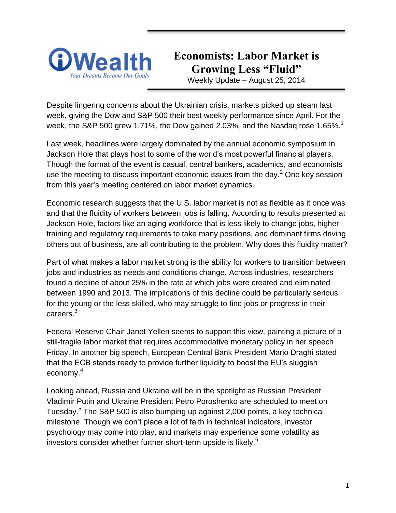

# **Economists: Labor Market is Growing Less "Fluid"**

Weekly Update – August 25, 2014

Despite lingering concerns about the Ukrainian crisis, markets picked up steam last week, giving the Dow and S&P 500 their best weekly performance since April. For the week, the S&P 500 grew 1.71%, the Dow gained 2.03%, and the Nasdaq rose 1.65%.<sup>1</sup>

Last week, headlines were largely dominated by the annual economic symposium in Jackson Hole that plays host to some of the world's most powerful financial players. Though the format of the event is casual, central bankers, academics, and economists use the meeting to discuss important economic issues from the day.<sup>2</sup> One key session from this year's meeting centered on labor market dynamics.

Economic research suggests that the U.S. labor market is not as flexible as it once was and that the fluidity of workers between jobs is falling. According to results presented at Jackson Hole, factors like an aging workforce that is less likely to change jobs, higher training and regulatory requirements to take many positions, and dominant firms driving others out of business, are all contributing to the problem. Why does this fluidity matter?

Part of what makes a labor market strong is the ability for workers to transition between jobs and industries as needs and conditions change. Across industries, researchers found a decline of about 25% in the rate at which jobs were created and eliminated between 1990 and 2013. The implications of this decline could be particularly serious for the young or the less skilled, who may struggle to find jobs or progress in their careers.<sup>3</sup>

Federal Reserve Chair Janet Yellen seems to support this view, painting a picture of a still-fragile labor market that requires accommodative monetary policy in her speech Friday. In another big speech, European Central Bank President Mario Draghi stated that the ECB stands ready to provide further liquidity to boost the EU's sluggish economy.<sup>4</sup>

Looking ahead, Russia and Ukraine will be in the spotlight as Russian President Vladimir Putin and Ukraine President Petro Poroshenko are scheduled to meet on Tuesday.<sup>5</sup> The S&P 500 is also bumping up against 2,000 points, a key technical milestone. Though we don't place a lot of faith in technical indicators, investor psychology may come into play, and markets may experience some volatility as investors consider whether further short-term upside is likely.<sup>6</sup>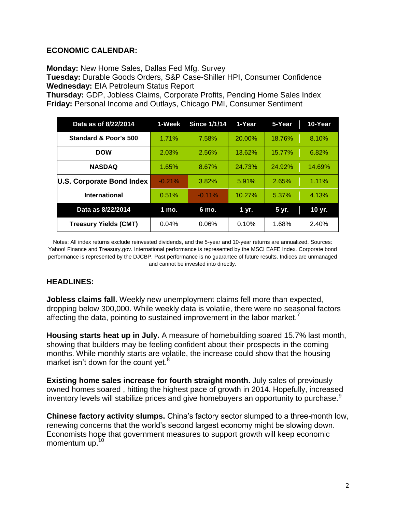#### **ECONOMIC CALENDAR:**

**Monday:** New Home Sales, Dallas Fed Mfg. Survey

**Tuesday:** Durable Goods Orders, S&P Case-Shiller HPI, Consumer Confidence **Wednesday:** EIA Petroleum Status Report

**Thursday:** GDP, Jobless Claims, Corporate Profits, Pending Home Sales Index **Friday:** Personal Income and Outlays, Chicago PMI, Consumer Sentiment

| Data as of 8/22/2014         | 1-Week   | <b>Since 1/1/14</b> | 1-Year    | 5-Year | 10-Year |
|------------------------------|----------|---------------------|-----------|--------|---------|
| Standard & Poor's 500        | 1.71%    | 7.58%               | 20.00%    | 18.76% | 8.10%   |
| <b>DOW</b>                   | 2.03%    | 2.56%               | 13.62%    | 15.77% | 6.82%   |
| <b>NASDAQ</b>                | 1.65%    | 8.67%               | 24.73%    | 24.92% | 14.69%  |
| U.S. Corporate Bond Index    | $-0.21%$ | 3.82%               | 5.91%     | 2.65%  | 1.11%   |
| <b>International</b>         | 0.51%    | $-0.11\%$           | $10.27\%$ | 5.37%  | 4.13%   |
| Data as 8/22/2014            | 1 mo.    | 6 mo.               | 1 yr.     | 5 yr.  | 10 yr.  |
| <b>Treasury Yields (CMT)</b> | 0.04%    | 0.06%               | 0.10%     | 1.68%  | 2.40%   |

Notes: All index returns exclude reinvested dividends, and the 5-year and 10-year returns are annualized. Sources: Yahoo! Finance and [Treasury.gov.](http://treasury.gov/) International performance is represented by the MSCI EAFE Index. Corporate bond performance is represented by the DJCBP. Past performance is no guarantee of future results. Indices are unmanaged and cannot be invested into directly.

### **HEADLINES:**

**Jobless claims fall.** Weekly new unemployment claims fell more than expected, dropping below 300,000. While weekly data is volatile, there were no seasonal factors affecting the data, pointing to sustained improvement in the labor market.<sup>7</sup>

**Housing starts heat up in July.** A measure of homebuilding soared 15.7% last month, showing that builders may be feeling confident about their prospects in the coming months. While monthly starts are volatile, the increase could show that the housing market isn't down for the count yet.<sup>8</sup>

**Existing home sales increase for fourth straight month.** July sales of previously owned homes soared , hitting the highest pace of growth in 2014. Hopefully, increased inventory levels will stabilize prices and give homebuyers an opportunity to purchase.<sup>9</sup>

**Chinese factory activity slumps.** China's factory sector slumped to a three-month low, renewing concerns that the world's second largest economy might be slowing down. Economists hope that government measures to support growth will keep economic momentum up.<sup>10</sup>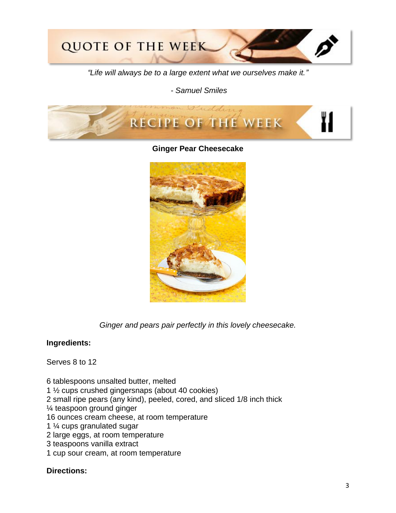

*"Life will always be to a large extent what we ourselves make it."*

*- Samuel Smiles*



**Ginger Pear Cheesecake**



*Ginger and pears pair perfectly in this lovely cheesecake.*

#### **Ingredients:**

Serves 8 to 12

6 tablespoons unsalted butter, melted 1 ½ cups crushed gingersnaps (about 40 cookies) 2 small ripe pears (any kind), peeled, cored, and sliced 1/8 inch thick ¼ teaspoon ground ginger 16 ounces cream cheese, at room temperature 1 ¼ cups granulated sugar 2 large eggs, at room temperature 3 teaspoons vanilla extract 1 cup sour cream, at room temperature

#### **Directions:**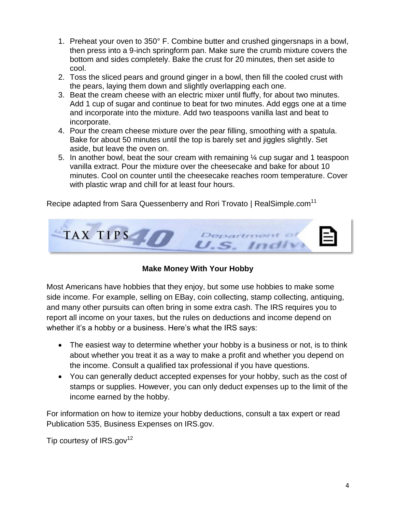- 1. Preheat your oven to 350° F. Combine butter and crushed gingersnaps in a bowl, then press into a 9-inch springform pan. Make sure the crumb mixture covers the bottom and sides completely. Bake the crust for 20 minutes, then set aside to cool.
- 2. Toss the sliced pears and ground ginger in a bowl, then fill the cooled crust with the pears, laying them down and slightly overlapping each one.
- 3. Beat the cream cheese with an electric mixer until fluffy, for about two minutes. Add 1 cup of sugar and continue to beat for two minutes. Add eggs one at a time and incorporate into the mixture. Add two teaspoons vanilla last and beat to incorporate.
- 4. Pour the cream cheese mixture over the pear filling, smoothing with a spatula. Bake for about 50 minutes until the top is barely set and jiggles slightly. Set aside, but leave the oven on.
- 5. In another bowl, beat the sour cream with remaining ¼ cup sugar and 1 teaspoon vanilla extract. Pour the mixture over the cheesecake and bake for about 10 minutes. Cool on counter until the cheesecake reaches room temperature. Cover with plastic wrap and chill for at least four hours.

Recipe adapted from Sara Quessenberry and Rori Trovato | RealSimple.com<sup>11</sup>



# **Make Money With Your Hobby**

Most Americans have hobbies that they enjoy, but some use hobbies to make some side income. For example, selling on EBay, coin collecting, stamp collecting, antiquing, and many other pursuits can often bring in some extra cash. The IRS requires you to report all income on your taxes, but the rules on deductions and income depend on whether it's a hobby or a business. Here's what the IRS says:

- The easiest way to determine whether your hobby is a business or not, is to think about whether you treat it as a way to make a profit and whether you depend on the income. Consult a qualified tax professional if you have questions.
- You can generally deduct accepted expenses for your hobby, such as the cost of stamps or supplies. However, you can only deduct expenses up to the limit of the income earned by the hobby.

For information on how to itemize your hobby deductions, consult a tax expert or read Publication 535, Business Expenses on IRS.gov.

Tip courtesy of  $IRS.gov^{12}$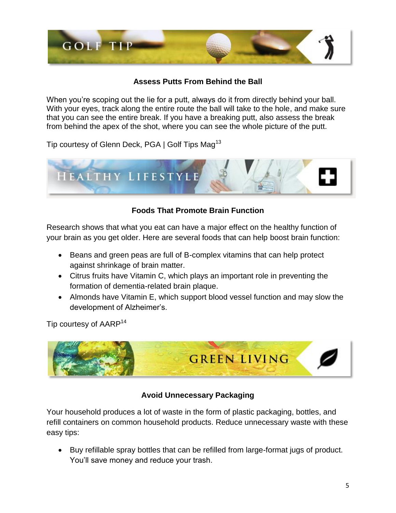

## **Assess Putts From Behind the Ball**

When you're scoping out the lie for a putt, always do it from directly behind your ball. With your eyes, track along the entire route the ball will take to the hole, and make sure that you can see the entire break. If you have a breaking putt, also assess the break from behind the apex of the shot, where you can see the whole picture of the putt.

Tip courtesy of Glenn Deck, PGA | Golf Tips Mag<sup>13</sup>



# **Foods That Promote Brain Function**

Research shows that what you eat can have a major effect on the healthy function of your brain as you get older. Here are several foods that can help boost brain function:

- Beans and green peas are full of B-complex vitamins that can help protect against shrinkage of brain matter.
- Citrus fruits have Vitamin C, which plays an important role in preventing the formation of dementia-related brain plaque.
- Almonds have Vitamin E, which support blood vessel function and may slow the development of Alzheimer's.

Tip courtesy of AARP<sup>14</sup>



# **Avoid Unnecessary Packaging**

Your household produces a lot of waste in the form of plastic packaging, bottles, and refill containers on common household products. Reduce unnecessary waste with these easy tips:

 Buy refillable spray bottles that can be refilled from large-format jugs of product. You'll save money and reduce your trash.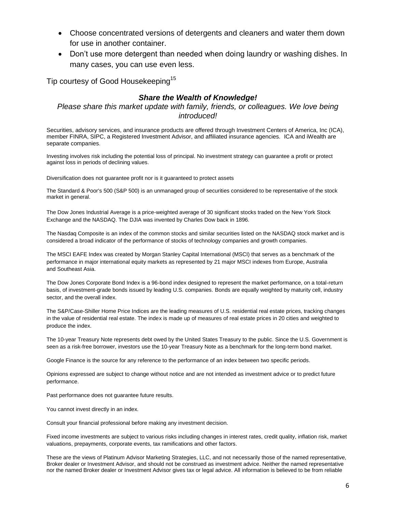- Choose concentrated versions of detergents and cleaners and water them down for use in another container.
- Don't use more detergent than needed when doing laundry or washing dishes. In many cases, you can use even less.

Tip courtesy of Good Housekeeping<sup>15</sup>

#### *Share the Wealth of Knowledge!*

*Please share this market update with family, friends, or colleagues. We love being introduced!*

Securities, advisory services, and insurance products are offered through Investment Centers of America, Inc (ICA), member FINRA, SIPC, a Registered Investment Advisor, and affiliated insurance agencies. ICA and iWealth are separate companies.

Investing involves risk including the potential loss of principal. No investment strategy can guarantee a profit or protect against loss in periods of declining values.

Diversification does not guarantee profit nor is it guaranteed to protect assets

The Standard & Poor's 500 (S&P 500) is an unmanaged group of securities considered to be representative of the stock market in general.

The Dow Jones Industrial Average is a price-weighted average of 30 significant stocks traded on the New York Stock Exchange and the NASDAQ. The DJIA was invented by Charles Dow back in 1896.

The Nasdaq Composite is an index of the common stocks and similar securities listed on the NASDAQ stock market and is considered a broad indicator of the performance of stocks of technology companies and growth companies.

The MSCI EAFE Index was created by Morgan Stanley Capital International (MSCI) that serves as a benchmark of the performance in major international equity markets as represented by 21 major MSCI indexes from Europe, Australia and Southeast Asia.

The Dow Jones Corporate Bond Index is a 96-bond index designed to represent the market performance, on a total-return basis, of investment-grade bonds issued by leading U.S. companies. Bonds are equally weighted by maturity cell, industry sector, and the overall index.

The S&P/Case-Shiller Home Price Indices are the leading measures of U.S. residential real estate prices, tracking changes in the value of residential real estate. The index is made up of measures of real estate prices in 20 cities and weighted to produce the index.

The 10-year Treasury Note represents debt owed by the United States Treasury to the public. Since the U.S. Government is seen as a risk-free borrower, investors use the 10-year Treasury Note as a benchmark for the long-term bond market.

Google Finance is the source for any reference to the performance of an index between two specific periods.

Opinions expressed are subject to change without notice and are not intended as investment advice or to predict future performance.

Past performance does not guarantee future results.

You cannot invest directly in an index.

Consult your financial professional before making any investment decision.

Fixed income investments are subject to various risks including changes in interest rates, credit quality, inflation risk, market valuations, prepayments, corporate events, tax ramifications and other factors.

These are the views of Platinum Advisor Marketing Strategies, LLC, and not necessarily those of the named representative, Broker dealer or Investment Advisor, and should not be construed as investment advice. Neither the named representative nor the named Broker dealer or Investment Advisor gives tax or legal advice. All information is believed to be from reliable